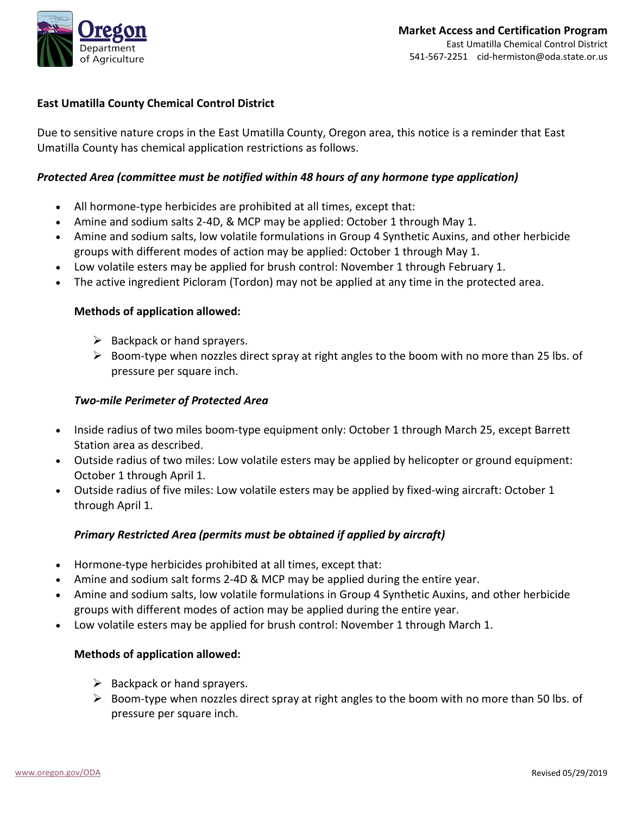

## **East Umatilla County Chemical Control District**

Due to sensitive nature crops in the East Umatilla County, Oregon area, this notice is a reminder that East Umatilla County has chemical application restrictions as follows.

### *Protected Area (committee must be notified within 48 hours of any hormone type application)*

- All hormone-type herbicides are prohibited at all times, except that:
- Amine and sodium salts 2-4D, & MCP may be applied: October 1 through May 1.
- Amine and sodium salts, low volatile formulations in Group 4 Synthetic Auxins, and other herbicide groups with different modes of action may be applied: October 1 through May 1.
- Low volatile esters may be applied for brush control: November 1 through February 1.
- The active ingredient Picloram (Tordon) may not be applied at any time in the protected area.

### **Methods of application allowed:**

- $\triangleright$  Backpack or hand sprayers.
- $\triangleright$  Boom-type when nozzles direct spray at right angles to the boom with no more than 25 lbs. of pressure per square inch.

### *Two-mile Perimeter of Protected Area*

- Inside radius of two miles boom-type equipment only: October 1 through March 25, except Barrett Station area as described.
- Outside radius of two miles: Low volatile esters may be applied by helicopter or ground equipment: October 1 through April 1.
- Outside radius of five miles: Low volatile esters may be applied by fixed-wing aircraft: October 1 through April 1.

## *Primary Restricted Area (permits must be obtained if applied by aircraft)*

- Hormone-type herbicides prohibited at all times, except that:
- Amine and sodium salt forms 2-4D & MCP may be applied during the entire year.
- Amine and sodium salts, low volatile formulations in Group 4 Synthetic Auxins, and other herbicide groups with different modes of action may be applied during the entire year.
- Low volatile esters may be applied for brush control: November 1 through March 1.

## **Methods of application allowed:**

- $\triangleright$  Backpack or hand sprayers.
- $\triangleright$  Boom-type when nozzles direct spray at right angles to the boom with no more than 50 lbs. of pressure per square inch.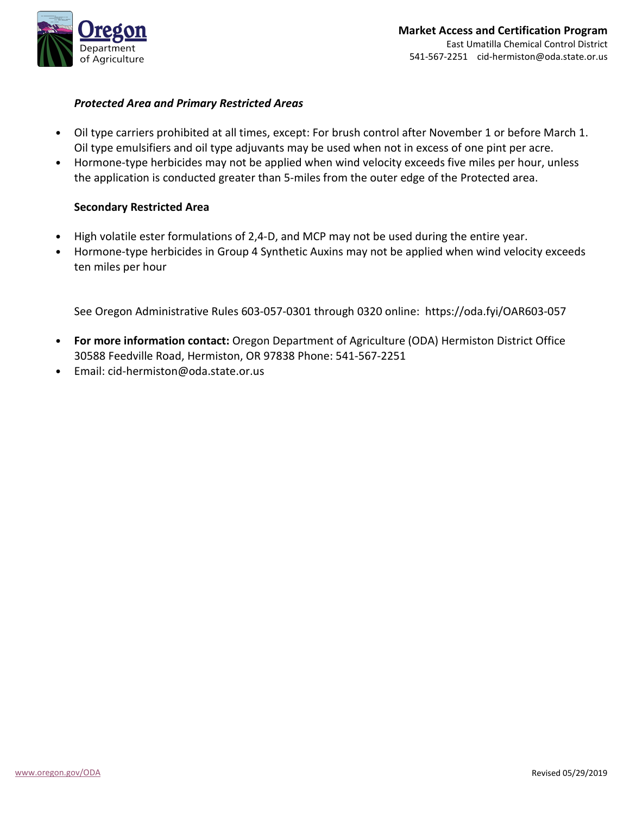

### *Protected Area and Primary Restricted Areas*

- Oil type carriers prohibited at all times, except: For brush control after November 1 or before March 1. Oil type emulsifiers and oil type adjuvants may be used when not in excess of one pint per acre.
- Hormone-type herbicides may not be applied when wind velocity exceeds five miles per hour, unless the application is conducted greater than 5-miles from the outer edge of the Protected area.

### **Secondary Restricted Area**

- High volatile ester formulations of 2,4-D, and MCP may not be used during the entire year.
- Hormone-type herbicides in Group 4 Synthetic Auxins may not be applied when wind velocity exceeds ten miles per hour

See Oregon Administrative Rules 603-057-0301 through 0320 online: https://oda.fyi/OAR603-057

- **For more information contact:** Oregon Department of Agriculture (ODA) Hermiston District Office 30588 Feedville Road, Hermiston, OR 97838 Phone: 541-567-2251
- Email: cid-hermiston@oda.state.or.us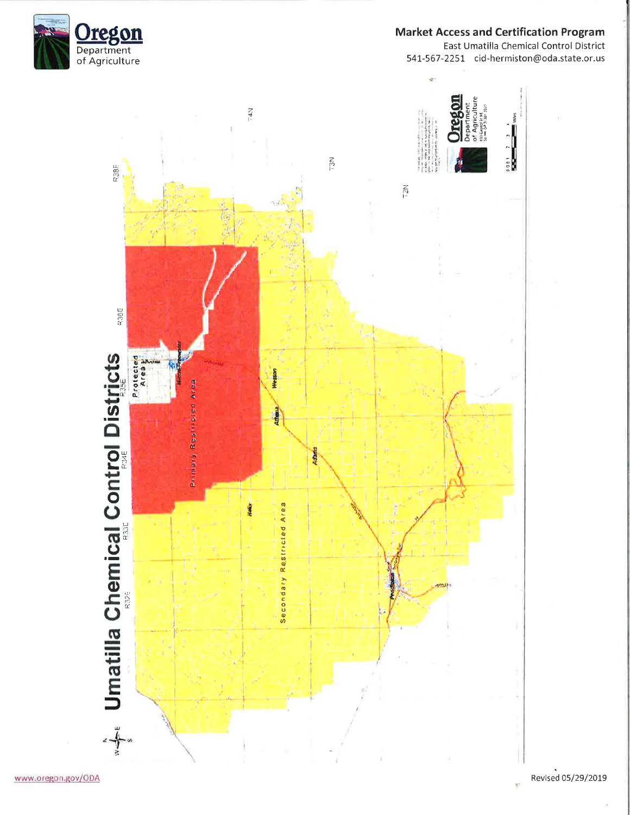

# **Market Access and Certification Program**

East Umatilla Chemical Control District 541-567-2251 cid-hermiston@oda.state.or.us



Revised 05/29/2019

 $\mathcal{R}^{\prime}$